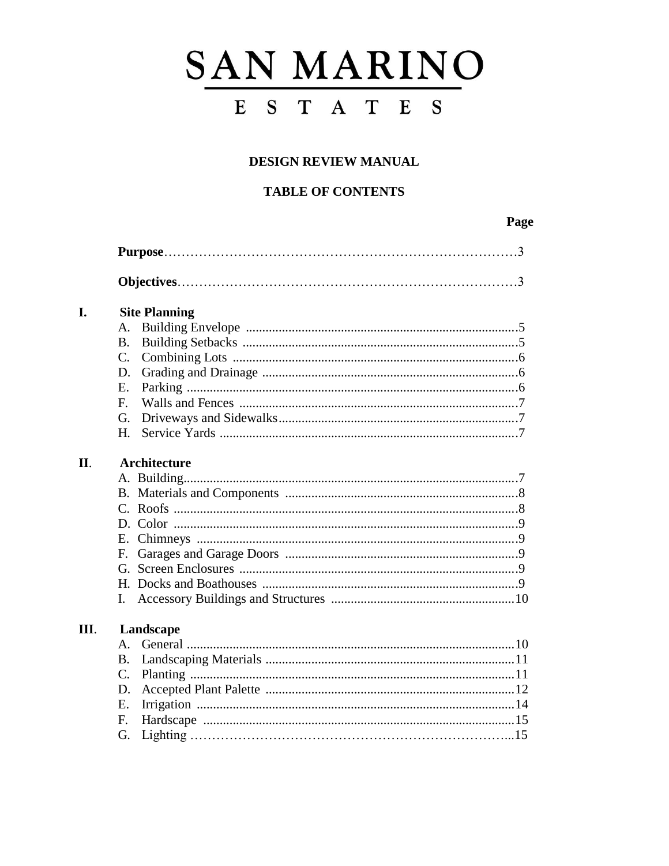# SAN MARINO ESTATES

# DESIGN REVIEW MANUAL

# **TABLE OF CONTENTS**

# Page

| I.   | <b>Site Planning</b> |
|------|----------------------|
|      | A.                   |
|      | <b>B.</b>            |
|      | $\mathcal{C}$ .      |
|      | D.                   |
|      | $E_{\rm c}$          |
|      | $F_{\rm}$            |
|      | G.                   |
|      | H.                   |
| II.  | <b>Architecture</b>  |
|      |                      |
|      |                      |
|      |                      |
|      |                      |
|      |                      |
|      | E.                   |
|      |                      |
|      |                      |
|      | L.                   |
| III. | Landscape            |
|      | $\mathsf{A}$ .       |
|      | <b>B.</b>            |
|      | $\mathcal{C}$ .      |
|      | D.                   |
|      | Ε.                   |
|      | F.                   |
|      | G.                   |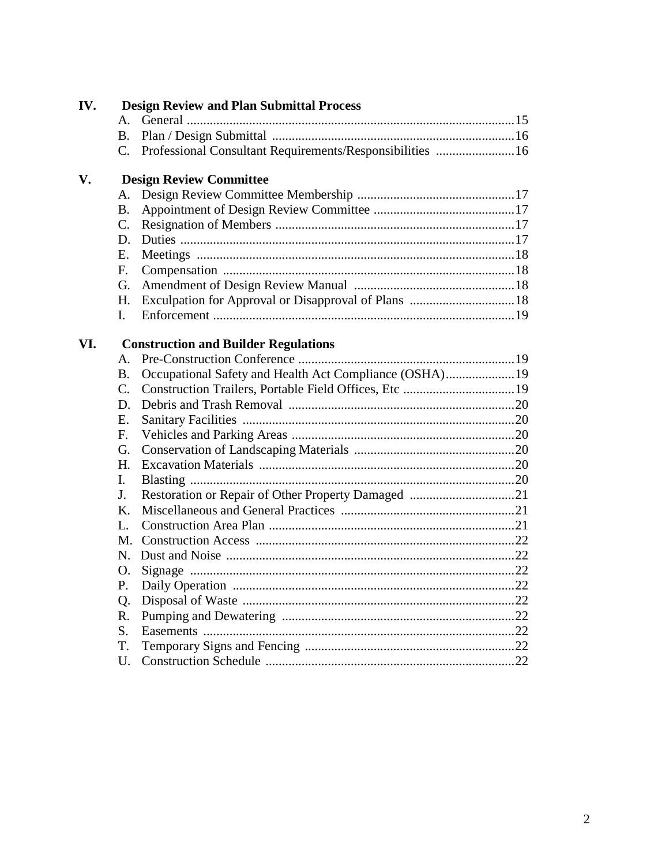| B <sub>r</sub>  |  |                                                                                                                                                                                                                                                                                                                                                                       |  |  |  |  |  |
|-----------------|--|-----------------------------------------------------------------------------------------------------------------------------------------------------------------------------------------------------------------------------------------------------------------------------------------------------------------------------------------------------------------------|--|--|--|--|--|
| $C_{\cdot}$     |  |                                                                                                                                                                                                                                                                                                                                                                       |  |  |  |  |  |
|                 |  |                                                                                                                                                                                                                                                                                                                                                                       |  |  |  |  |  |
| А.              |  |                                                                                                                                                                                                                                                                                                                                                                       |  |  |  |  |  |
| <b>B.</b>       |  |                                                                                                                                                                                                                                                                                                                                                                       |  |  |  |  |  |
| $\mathcal{C}$ . |  |                                                                                                                                                                                                                                                                                                                                                                       |  |  |  |  |  |
| D.              |  |                                                                                                                                                                                                                                                                                                                                                                       |  |  |  |  |  |
| E.              |  |                                                                                                                                                                                                                                                                                                                                                                       |  |  |  |  |  |
| F.              |  |                                                                                                                                                                                                                                                                                                                                                                       |  |  |  |  |  |
| G.              |  |                                                                                                                                                                                                                                                                                                                                                                       |  |  |  |  |  |
| H.              |  |                                                                                                                                                                                                                                                                                                                                                                       |  |  |  |  |  |
| $\mathbf{I}$ .  |  |                                                                                                                                                                                                                                                                                                                                                                       |  |  |  |  |  |
|                 |  |                                                                                                                                                                                                                                                                                                                                                                       |  |  |  |  |  |
| A.              |  |                                                                                                                                                                                                                                                                                                                                                                       |  |  |  |  |  |
| <b>B.</b>       |  |                                                                                                                                                                                                                                                                                                                                                                       |  |  |  |  |  |
| $C_{\cdot}$     |  |                                                                                                                                                                                                                                                                                                                                                                       |  |  |  |  |  |
| D.              |  |                                                                                                                                                                                                                                                                                                                                                                       |  |  |  |  |  |
| E.              |  |                                                                                                                                                                                                                                                                                                                                                                       |  |  |  |  |  |
| $F_{\cdot}$     |  |                                                                                                                                                                                                                                                                                                                                                                       |  |  |  |  |  |
| G.              |  |                                                                                                                                                                                                                                                                                                                                                                       |  |  |  |  |  |
| H.              |  |                                                                                                                                                                                                                                                                                                                                                                       |  |  |  |  |  |
| I.              |  |                                                                                                                                                                                                                                                                                                                                                                       |  |  |  |  |  |
| J.              |  |                                                                                                                                                                                                                                                                                                                                                                       |  |  |  |  |  |
| K.              |  |                                                                                                                                                                                                                                                                                                                                                                       |  |  |  |  |  |
| L.              |  |                                                                                                                                                                                                                                                                                                                                                                       |  |  |  |  |  |
| M.              |  |                                                                                                                                                                                                                                                                                                                                                                       |  |  |  |  |  |
| N.              |  |                                                                                                                                                                                                                                                                                                                                                                       |  |  |  |  |  |
| O.              |  |                                                                                                                                                                                                                                                                                                                                                                       |  |  |  |  |  |
| P.              |  |                                                                                                                                                                                                                                                                                                                                                                       |  |  |  |  |  |
| Q.              |  |                                                                                                                                                                                                                                                                                                                                                                       |  |  |  |  |  |
| R.              |  |                                                                                                                                                                                                                                                                                                                                                                       |  |  |  |  |  |
| S.              |  |                                                                                                                                                                                                                                                                                                                                                                       |  |  |  |  |  |
| T.              |  |                                                                                                                                                                                                                                                                                                                                                                       |  |  |  |  |  |
| U.              |  |                                                                                                                                                                                                                                                                                                                                                                       |  |  |  |  |  |
|                 |  | <b>Design Review and Plan Submittal Process</b><br>Professional Consultant Requirements/Responsibilities 16<br><b>Design Review Committee</b><br><b>Construction and Builder Regulations</b><br>Occupational Safety and Health Act Compliance (OSHA)19<br>Construction Trailers, Portable Field Offices, Etc 19<br>Restoration or Repair of Other Property Damaged 21 |  |  |  |  |  |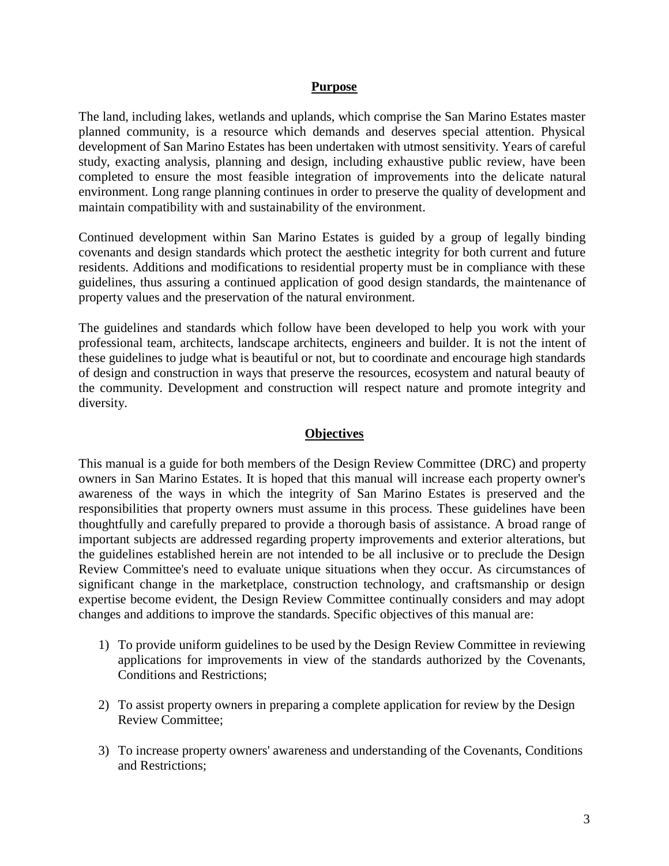#### **Purpose**

The land, including lakes, wetlands and uplands, which comprise the San Marino Estates master planned community, is a resource which demands and deserves special attention. Physical development of San Marino Estates has been undertaken with utmost sensitivity. Years of careful study, exacting analysis, planning and design, including exhaustive public review, have been completed to ensure the most feasible integration of improvements into the delicate natural environment. Long range planning continues in order to preserve the quality of development and maintain compatibility with and sustainability of the environment.

Continued development within San Marino Estates is guided by a group of legally binding covenants and design standards which protect the aesthetic integrity for both current and future residents. Additions and modifications to residential property must be in compliance with these guidelines, thus assuring a continued application of good design standards, the maintenance of property values and the preservation of the natural environment.

The guidelines and standards which follow have been developed to help you work with your professional team, architects, landscape architects, engineers and builder. It is not the intent of these guidelines to judge what is beautiful or not, but to coordinate and encourage high standards of design and construction in ways that preserve the resources, ecosystem and natural beauty of the community. Development and construction will respect nature and promote integrity and diversity.

#### **Objectives**

This manual is a guide for both members of the Design Review Committee (DRC) and property owners in San Marino Estates. It is hoped that this manual will increase each property owner's awareness of the ways in which the integrity of San Marino Estates is preserved and the responsibilities that property owners must assume in this process. These guidelines have been thoughtfully and carefully prepared to provide a thorough basis of assistance. A broad range of important subjects are addressed regarding property improvements and exterior alterations, but the guidelines established herein are not intended to be all inclusive or to preclude the Design Review Committee's need to evaluate unique situations when they occur. As circumstances of significant change in the marketplace, construction technology, and craftsmanship or design expertise become evident, the Design Review Committee continually considers and may adopt changes and additions to improve the standards. Specific objectives of this manual are:

- 1) To provide uniform guidelines to be used by the Design Review Committee in reviewing applications for improvements in view of the standards authorized by the Covenants, Conditions and Restrictions;
- 2) To assist property owners in preparing a complete application for review by the Design Review Committee;
- 3) To increase property owners' awareness and understanding of the Covenants, Conditions and Restrictions;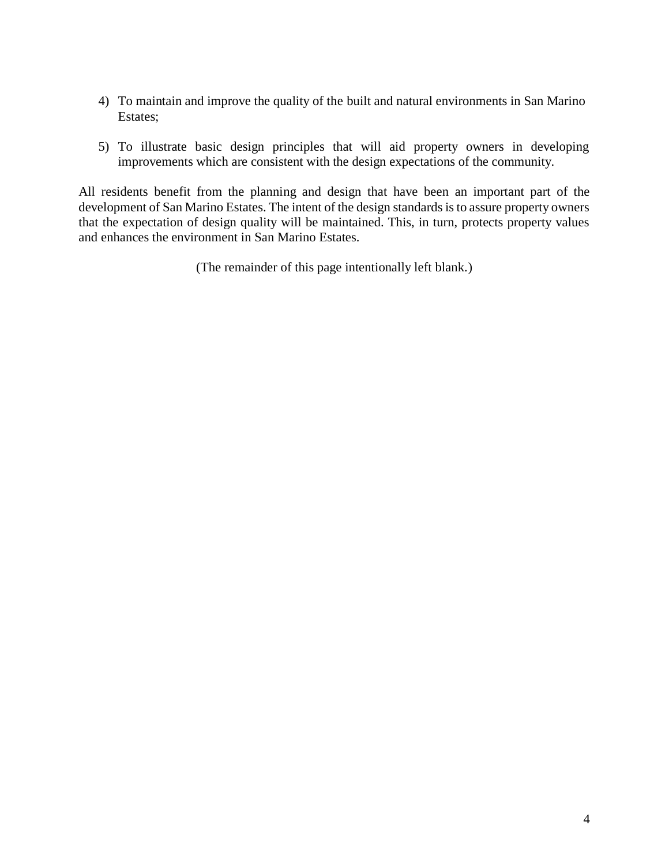- 4) To maintain and improve the quality of the built and natural environments in San Marino Estates;
- 5) To illustrate basic design principles that will aid property owners in developing improvements which are consistent with the design expectations of the community.

All residents benefit from the planning and design that have been an important part of the development of San Marino Estates. The intent of the design standards is to assure property owners that the expectation of design quality will be maintained. This, in turn, protects property values and enhances the environment in San Marino Estates.

(The remainder of this page intentionally left blank.)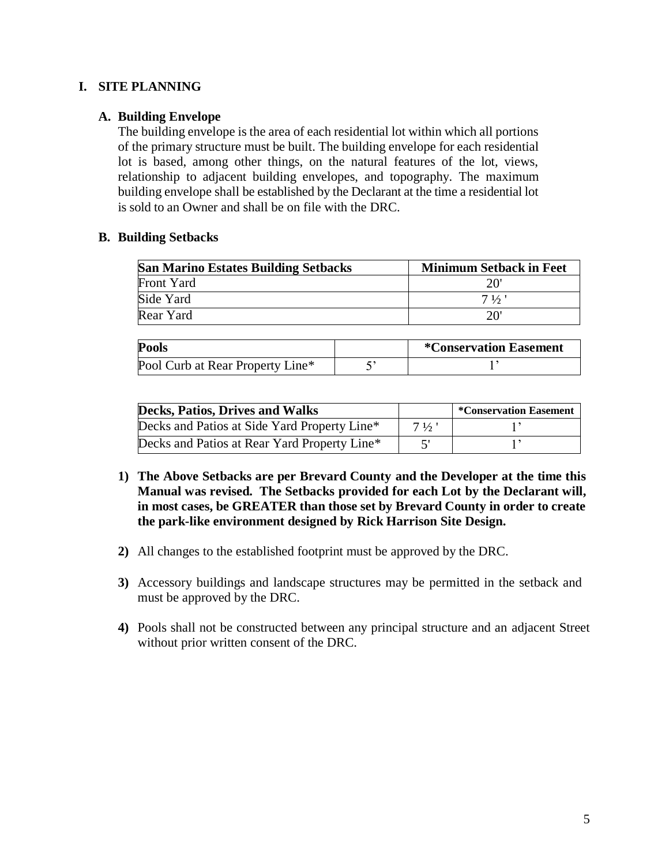# **I. SITE PLANNING**

## **A. Building Envelope**

The building envelope is the area of each residential lot within which all portions of the primary structure must be built. The building envelope for each residential lot is based, among other things, on the natural features of the lot, views, relationship to adjacent building envelopes, and topography. The maximum building envelope shall be established by the Declarant at the time a residential lot is sold to an Owner and shall be on file with the DRC.

#### **B. Building Setbacks**

| <b>San Marino Estates Building Setbacks</b> | <b>Minimum Setback in Feet</b> |
|---------------------------------------------|--------------------------------|
| Front Yard                                  | 20'                            |
| Side Yard                                   | $7\frac{1}{2}$                 |
| Rear Yard                                   | $20^{\circ}$                   |

| <b>Pools</b>                     | <i>*</i> Conservation Easement |
|----------------------------------|--------------------------------|
| Pool Curb at Rear Property Line* |                                |

| Decks, Patios, Drives and Walks              |                | *Conservation Easement |
|----------------------------------------------|----------------|------------------------|
| Decks and Patios at Side Yard Property Line* | $7\frac{1}{2}$ |                        |
| Decks and Patios at Rear Yard Property Line* |                |                        |

- **1) The Above Setbacks are per Brevard County and the Developer at the time this Manual was revised. The Setbacks provided for each Lot by the Declarant will, in most cases, be GREATER than those set by Brevard County in order to create the park-like environment designed by Rick Harrison Site Design.**
- **2)** All changes to the established footprint must be approved by the DRC.
- **3)** Accessory buildings and landscape structures may be permitted in the setback and must be approved by the DRC.
- **4)** Pools shall not be constructed between any principal structure and an adjacent Street without prior written consent of the DRC.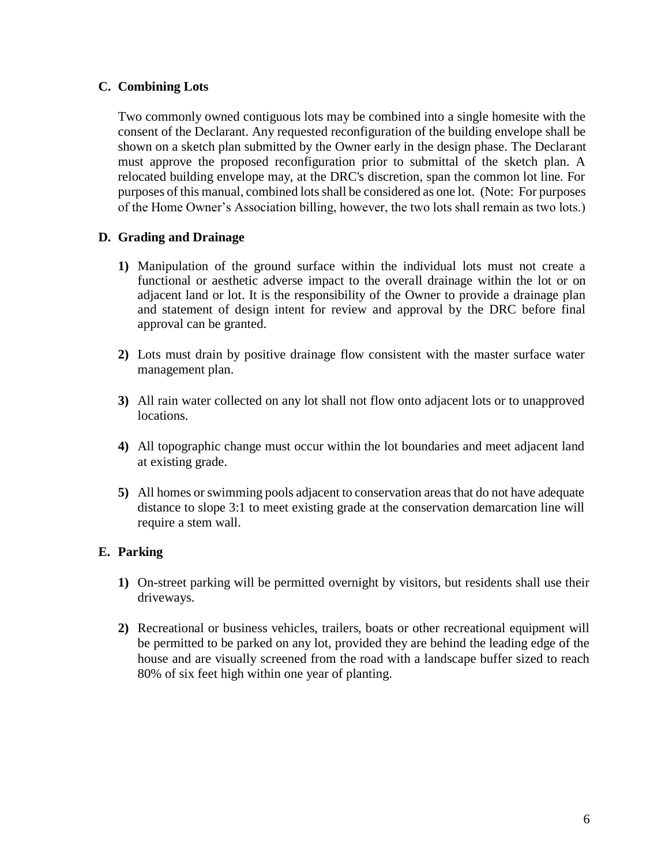# **C. Combining Lots**

Two commonly owned contiguous lots may be combined into a single homesite with the consent of the Declarant. Any requested reconfiguration of the building envelope shall be shown on a sketch plan submitted by the Owner early in the design phase. The Declarant must approve the proposed reconfiguration prior to submittal of the sketch plan. A relocated building envelope may, at the DRC's discretion, span the common lot line. For purposes of this manual, combined lots shall be considered as one lot. (Note: For purposes of the Home Owner's Association billing, however, the two lots shall remain as two lots.)

# **D. Grading and Drainage**

- **1)** Manipulation of the ground surface within the individual lots must not create a functional or aesthetic adverse impact to the overall drainage within the lot or on adjacent land or lot. It is the responsibility of the Owner to provide a drainage plan and statement of design intent for review and approval by the DRC before final approval can be granted.
- **2)** Lots must drain by positive drainage flow consistent with the master surface water management plan.
- **3)** All rain water collected on any lot shall not flow onto adjacent lots or to unapproved locations.
- **4)** All topographic change must occur within the lot boundaries and meet adjacent land at existing grade.
- **5)** All homes or swimming pools adjacent to conservation areas that do not have adequate distance to slope 3:1 to meet existing grade at the conservation demarcation line will require a stem wall.

## **E. Parking**

- **1)** On-street parking will be permitted overnight by visitors, but residents shall use their driveways.
- **2)** Recreational or business vehicles, trailers, boats or other recreational equipment will be permitted to be parked on any lot, provided they are behind the leading edge of the house and are visually screened from the road with a landscape buffer sized to reach 80% of six feet high within one year of planting.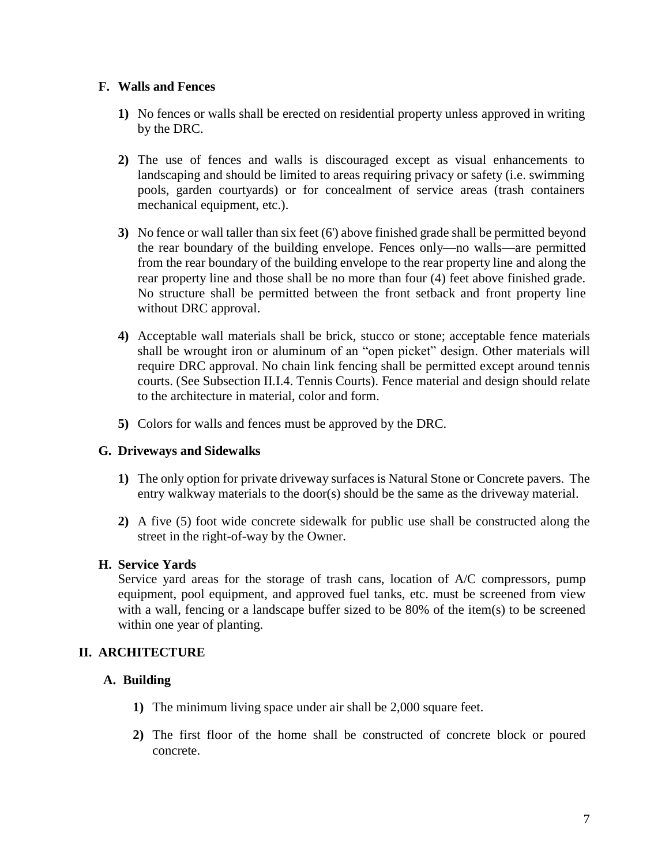# **F. Walls and Fences**

- **1)** No fences or walls shall be erected on residential property unless approved in writing by the DRC.
- **2)** The use of fences and walls is discouraged except as visual enhancements to landscaping and should be limited to areas requiring privacy or safety (i.e. swimming pools, garden courtyards) or for concealment of service areas (trash containers mechanical equipment, etc.).
- **3)** No fence or wall taller than six feet (6') above finished grade shall be permitted beyond the rear boundary of the building envelope. Fences only—no walls—are permitted from the rear boundary of the building envelope to the rear property line and along the rear property line and those shall be no more than four (4) feet above finished grade. No structure shall be permitted between the front setback and front property line without DRC approval.
- **4)** Acceptable wall materials shall be brick, stucco or stone; acceptable fence materials shall be wrought iron or aluminum of an "open picket" design. Other materials will require DRC approval. No chain link fencing shall be permitted except around tennis courts. (See Subsection II.I.4. Tennis Courts). Fence material and design should relate to the architecture in material, color and form.
- **5)** Colors for walls and fences must be approved by the DRC.

# **G. Driveways and Sidewalks**

- **1)** The only option for private driveway surfaces is Natural Stone or Concrete pavers. The entry walkway materials to the door(s) should be the same as the driveway material.
- **2)** A five (5) foot wide concrete sidewalk for public use shall be constructed along the street in the right-of-way by the Owner.

## **H. Service Yards**

Service yard areas for the storage of trash cans, location of A/C compressors, pump equipment, pool equipment, and approved fuel tanks, etc. must be screened from view with a wall, fencing or a landscape buffer sized to be 80% of the item(s) to be screened within one year of planting.

# **II. ARCHITECTURE**

## **A. Building**

- **1)** The minimum living space under air shall be 2,000 square feet.
- **2)** The first floor of the home shall be constructed of concrete block or poured concrete.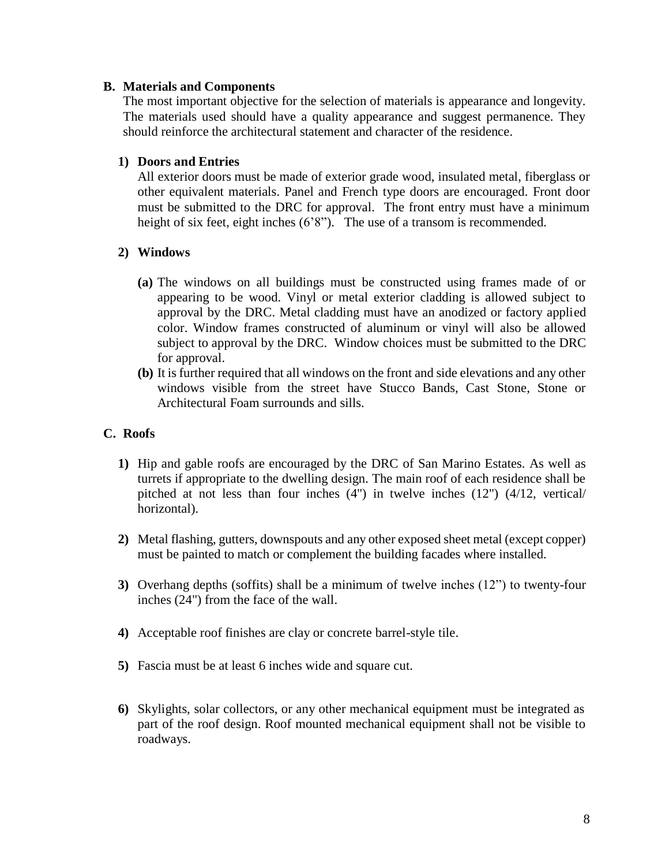## **B. Materials and Components**

The most important objective for the selection of materials is appearance and longevity. The materials used should have a quality appearance and suggest permanence. They should reinforce the architectural statement and character of the residence.

# **1) Doors and Entries**

All exterior doors must be made of exterior grade wood, insulated metal, fiberglass or other equivalent materials. Panel and French type doors are encouraged. Front door must be submitted to the DRC for approval. The front entry must have a minimum height of six feet, eight inches (6'8"). The use of a transom is recommended.

# **2) Windows**

- **(a)** The windows on all buildings must be constructed using frames made of or appearing to be wood. Vinyl or metal exterior cladding is allowed subject to approval by the DRC. Metal cladding must have an anodized or factory applied color. Window frames constructed of aluminum or vinyl will also be allowed subject to approval by the DRC. Window choices must be submitted to the DRC for approval.
- **(b)** It is further required that all windows on the front and side elevations and any other windows visible from the street have Stucco Bands, Cast Stone, Stone or Architectural Foam surrounds and sills.

# **C. Roofs**

- **1)** Hip and gable roofs are encouraged by the DRC of San Marino Estates. As well as turrets if appropriate to the dwelling design. The main roof of each residence shall be pitched at not less than four inches (4") in twelve inches (12") (4/12, vertical/ horizontal).
- **2)** Metal flashing, gutters, downspouts and any other exposed sheet metal (except copper) must be painted to match or complement the building facades where installed.
- **3)** Overhang depths (soffits) shall be a minimum of twelve inches (12") to twenty-four inches (24") from the face of the wall.
- **4)** Acceptable roof finishes are clay or concrete barrel-style tile.
- **5)** Fascia must be at least 6 inches wide and square cut.
- **6)** Skylights, solar collectors, or any other mechanical equipment must be integrated as part of the roof design. Roof mounted mechanical equipment shall not be visible to roadways.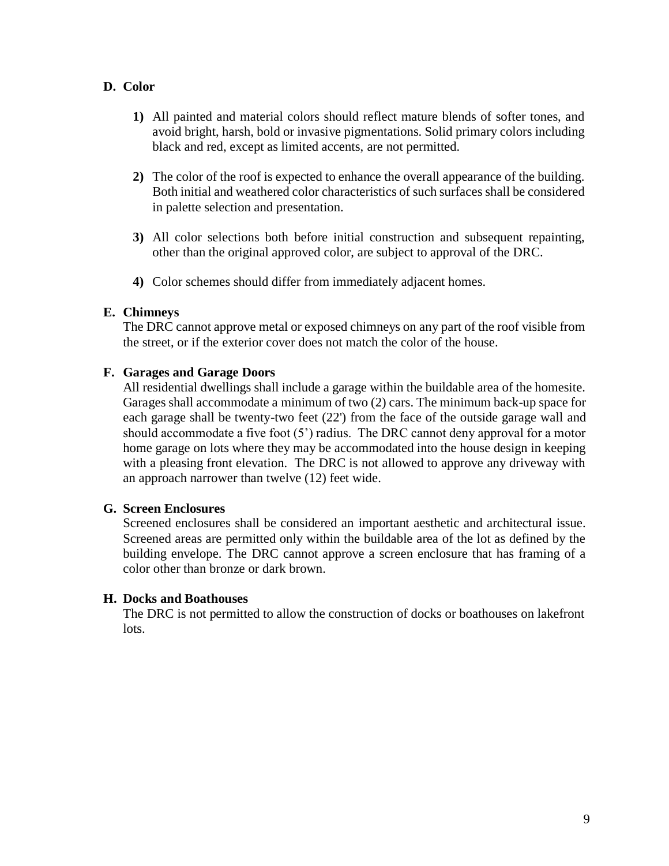# **D. Color**

- **1)** All painted and material colors should reflect mature blends of softer tones, and avoid bright, harsh, bold or invasive pigmentations. Solid primary colors including black and red, except as limited accents, are not permitted.
- **2)** The color of the roof is expected to enhance the overall appearance of the building. Both initial and weathered color characteristics of such surfaces shall be considered in palette selection and presentation.
- **3)** All color selections both before initial construction and subsequent repainting, other than the original approved color, are subject to approval of the DRC.
- **4)** Color schemes should differ from immediately adjacent homes.

# **E. Chimneys**

The DRC cannot approve metal or exposed chimneys on any part of the roof visible from the street, or if the exterior cover does not match the color of the house.

# **F. Garages and Garage Doors**

All residential dwellings shall include a garage within the buildable area of the homesite. Garages shall accommodate a minimum of two (2) cars. The minimum back-up space for each garage shall be twenty-two feet (22') from the face of the outside garage wall and should accommodate a five foot (5') radius. The DRC cannot deny approval for a motor home garage on lots where they may be accommodated into the house design in keeping with a pleasing front elevation. The DRC is not allowed to approve any driveway with an approach narrower than twelve (12) feet wide.

## **G. Screen Enclosures**

Screened enclosures shall be considered an important aesthetic and architectural issue. Screened areas are permitted only within the buildable area of the lot as defined by the building envelope. The DRC cannot approve a screen enclosure that has framing of a color other than bronze or dark brown.

## **H. Docks and Boathouses**

The DRC is not permitted to allow the construction of docks or boathouses on lakefront lots.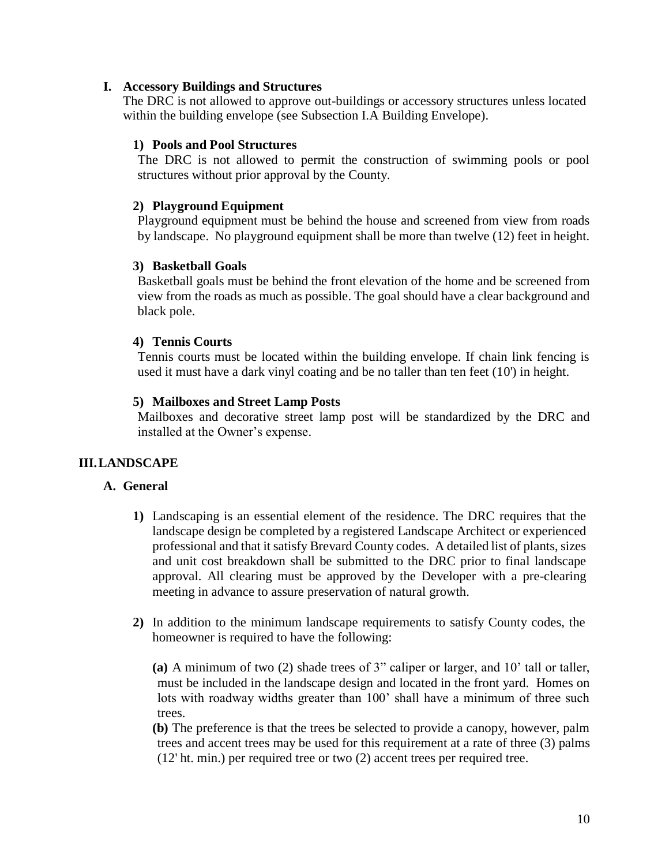## **I. Accessory Buildings and Structures**

The DRC is not allowed to approve out-buildings or accessory structures unless located within the building envelope (see Subsection I.A Building Envelope).

## **1) Pools and Pool Structures**

The DRC is not allowed to permit the construction of swimming pools or pool structures without prior approval by the County.

# **2) Playground Equipment**

Playground equipment must be behind the house and screened from view from roads by landscape. No playground equipment shall be more than twelve (12) feet in height.

# **3) Basketball Goals**

Basketball goals must be behind the front elevation of the home and be screened from view from the roads as much as possible. The goal should have a clear background and black pole.

# **4) Tennis Courts**

Tennis courts must be located within the building envelope. If chain link fencing is used it must have a dark vinyl coating and be no taller than ten feet (10') in height.

# **5) Mailboxes and Street Lamp Posts**

Mailboxes and decorative street lamp post will be standardized by the DRC and installed at the Owner's expense.

# **III.LANDSCAPE**

# **A. General**

- **1)** Landscaping is an essential element of the residence. The DRC requires that the landscape design be completed by a registered Landscape Architect or experienced professional and that it satisfy Brevard County codes. A detailed list of plants, sizes and unit cost breakdown shall be submitted to the DRC prior to final landscape approval. All clearing must be approved by the Developer with a pre-clearing meeting in advance to assure preservation of natural growth.
- **2)** In addition to the minimum landscape requirements to satisfy County codes, the homeowner is required to have the following:

**(a)** A minimum of two (2) shade trees of 3" caliper or larger, and 10' tall or taller, must be included in the landscape design and located in the front yard. Homes on lots with roadway widths greater than 100' shall have a minimum of three such trees.

**(b)** The preference is that the trees be selected to provide a canopy, however, palm trees and accent trees may be used for this requirement at a rate of three (3) palms (12' ht. min.) per required tree or two (2) accent trees per required tree.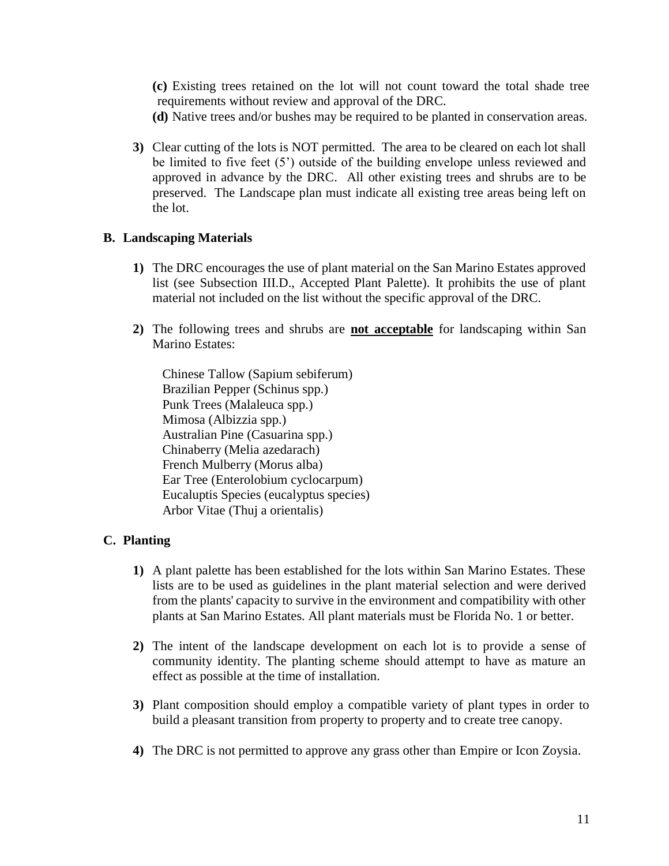**(c)** Existing trees retained on the lot will not count toward the total shade tree requirements without review and approval of the DRC.

- **(d)** Native trees and/or bushes may be required to be planted in conservation areas.
- **3)** Clear cutting of the lots is NOT permitted. The area to be cleared on each lot shall be limited to five feet (5') outside of the building envelope unless reviewed and approved in advance by the DRC. All other existing trees and shrubs are to be preserved. The Landscape plan must indicate all existing tree areas being left on the lot.

## **B. Landscaping Materials**

- **1)** The DRC encourages the use of plant material on the San Marino Estates approved list (see Subsection III.D., Accepted Plant Palette). It prohibits the use of plant material not included on the list without the specific approval of the DRC.
- **2)** The following trees and shrubs are **not acceptable** for landscaping within San Marino Estates:

Chinese Tallow (Sapium sebiferum) Brazilian Pepper (Schinus spp.) Punk Trees (Malaleuca spp.) Mimosa (Albizzia spp.) Australian Pine (Casuarina spp.) Chinaberry (Melia azedarach) French Mulberry (Morus alba) Ear Tree (Enterolobium cyclocarpum) Eucaluptis Species (eucalyptus species) Arbor Vitae (Thuj a orientalis)

# **C. Planting**

- **1)** A plant palette has been established for the lots within San Marino Estates. These lists are to be used as guidelines in the plant material selection and were derived from the plants' capacity to survive in the environment and compatibility with other plants at San Marino Estates. All plant materials must be Florida No. 1 or better.
- **2)** The intent of the landscape development on each lot is to provide a sense of community identity. The planting scheme should attempt to have as mature an effect as possible at the time of installation.
- **3)** Plant composition should employ a compatible variety of plant types in order to build a pleasant transition from property to property and to create tree canopy.
- **4)** The DRC is not permitted to approve any grass other than Empire or Icon Zoysia.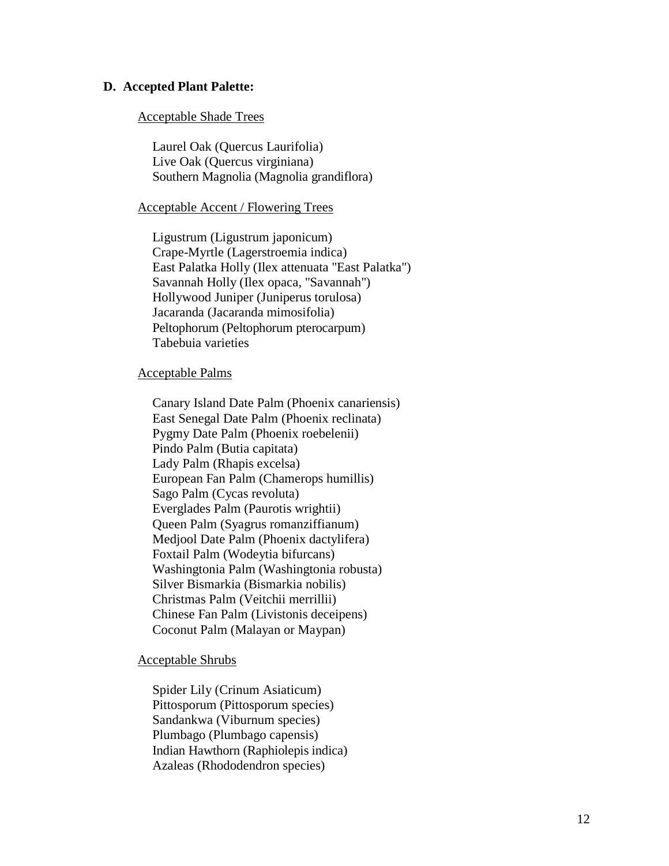#### **D. Accepted Plant Palette:**

#### Acceptable Shade Trees

Laurel Oak (Quercus Laurifolia) Live Oak (Quercus virginiana) Southern Magnolia (Magnolia grandiflora)

#### Acceptable Accent / Flowering Trees

Ligustrum (Ligustrum japonicum) Crape-Myrtle (Lagerstroemia indica) East Palatka Holly (Ilex attenuata "East Palatka") Savannah Holly (Ilex opaca, "Savannah") Hollywood Juniper (Juniperus torulosa) Jacaranda (Jacaranda mimosifolia) Peltophorum (Peltophorum pterocarpum) Tabebuia varieties

#### Acceptable Palms

Canary Island Date Palm (Phoenix canariensis) East Senegal Date Palm (Phoenix reclinata) Pygmy Date Palm (Phoenix roebelenii) Pindo Palm (Butia capitata) Lady Palm (Rhapis excelsa) European Fan Palm (Chamerops humillis) Sago Palm (Cycas revoluta) Everglades Palm (Paurotis wrightii) Queen Palm (Syagrus romanziffianum) Medjool Date Palm (Phoenix dactylifera) Foxtail Palm (Wodeytia bifurcans) Washingtonia Palm (Washingtonia robusta) Silver Bismarkia (Bismarkia nobilis) Christmas Palm (Veitchii merrillii) Chinese Fan Palm (Livistonis deceipens) Coconut Palm (Malayan or Maypan)

#### Acceptable Shrubs

Spider Lily (Crinum Asiaticum) Pittosporum (Pittosporum species) Sandankwa (Viburnum species) Plumbago (Plumbago capensis) Indian Hawthorn (Raphiolepis indica) Azaleas (Rhododendron species)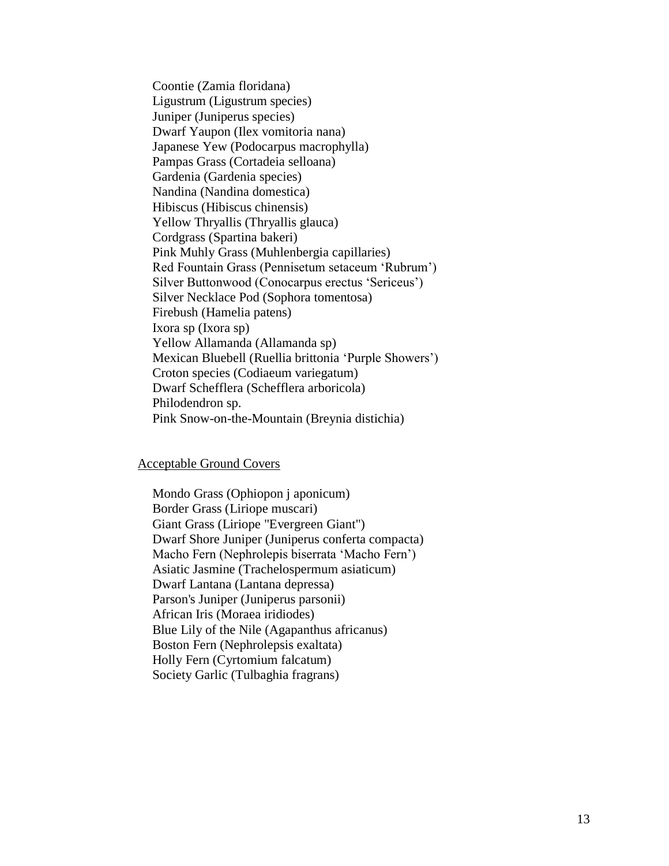Coontie (Zamia floridana) Ligustrum (Ligustrum species) Juniper (Juniperus species) Dwarf Yaupon (Ilex vomitoria nana) Japanese Yew (Podocarpus macrophylla) Pampas Grass (Cortadeia selloana) Gardenia (Gardenia species) Nandina (Nandina domestica) Hibiscus (Hibiscus chinensis) Yellow Thryallis (Thryallis glauca) Cordgrass (Spartina bakeri) Pink Muhly Grass (Muhlenbergia capillaries) Red Fountain Grass (Pennisetum setaceum 'Rubrum') Silver Buttonwood (Conocarpus erectus 'Sericeus') Silver Necklace Pod (Sophora tomentosa) Firebush (Hamelia patens) Ixora sp (Ixora sp) Yellow Allamanda (Allamanda sp) Mexican Bluebell (Ruellia brittonia 'Purple Showers') Croton species (Codiaeum variegatum) Dwarf Schefflera (Schefflera arboricola) Philodendron sp. Pink Snow-on-the-Mountain (Breynia distichia)

#### Acceptable Ground Covers

Mondo Grass (Ophiopon j aponicum) Border Grass (Liriope muscari) Giant Grass (Liriope "Evergreen Giant") Dwarf Shore Juniper (Juniperus conferta compacta) Macho Fern (Nephrolepis biserrata 'Macho Fern') Asiatic Jasmine (Trachelospermum asiaticum) Dwarf Lantana (Lantana depressa) Parson's Juniper (Juniperus parsonii) African Iris (Moraea iridiodes) Blue Lily of the Nile (Agapanthus africanus) Boston Fern (Nephrolepsis exaltata) Holly Fern (Cyrtomium falcatum) Society Garlic (Tulbaghia fragrans)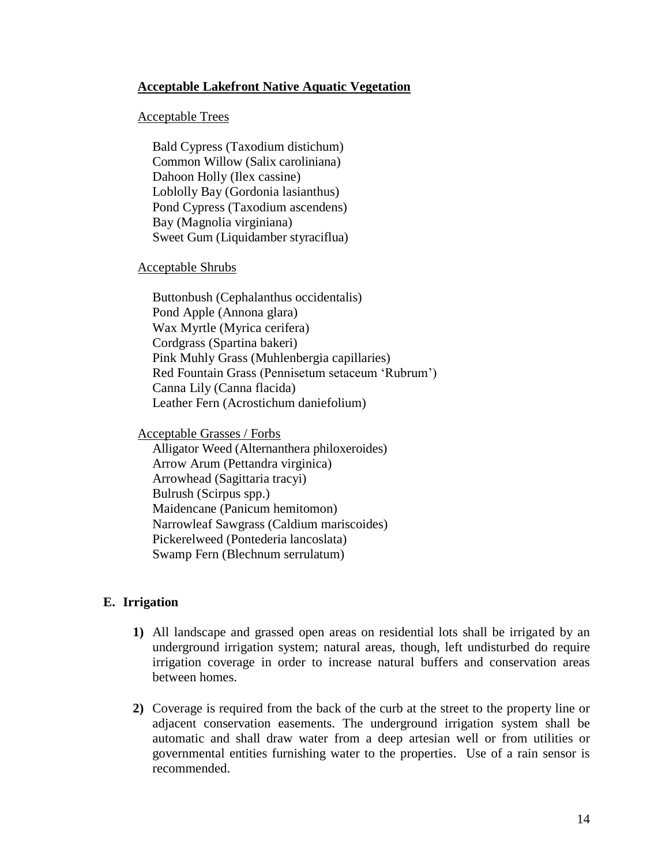## **Acceptable Lakefront Native Aquatic Vegetation**

#### Acceptable Trees

Bald Cypress (Taxodium distichum) Common Willow (Salix caroliniana) Dahoon Holly (Ilex cassine) Loblolly Bay (Gordonia lasianthus) Pond Cypress (Taxodium ascendens) Bay (Magnolia virginiana) Sweet Gum (Liquidamber styraciflua)

#### Acceptable Shrubs

Buttonbush (Cephalanthus occidentalis) Pond Apple (Annona glara) Wax Myrtle (Myrica cerifera) Cordgrass (Spartina bakeri) Pink Muhly Grass (Muhlenbergia capillaries) Red Fountain Grass (Pennisetum setaceum 'Rubrum') Canna Lily (Canna flacida) Leather Fern (Acrostichum daniefolium)

Acceptable Grasses / Forbs

Alligator Weed (Alternanthera philoxeroides) Arrow Arum (Pettandra virginica) Arrowhead (Sagittaria tracyi) Bulrush (Scirpus spp.) Maidencane (Panicum hemitomon) Narrowleaf Sawgrass (Caldium mariscoides) Pickerelweed (Pontederia lancoslata) Swamp Fern (Blechnum serrulatum)

#### **E. Irrigation**

- **1)** All landscape and grassed open areas on residential lots shall be irrigated by an underground irrigation system; natural areas, though, left undisturbed do require irrigation coverage in order to increase natural buffers and conservation areas between homes.
- **2)** Coverage is required from the back of the curb at the street to the property line or adjacent conservation easements. The underground irrigation system shall be automatic and shall draw water from a deep artesian well or from utilities or governmental entities furnishing water to the properties. Use of a rain sensor is recommended.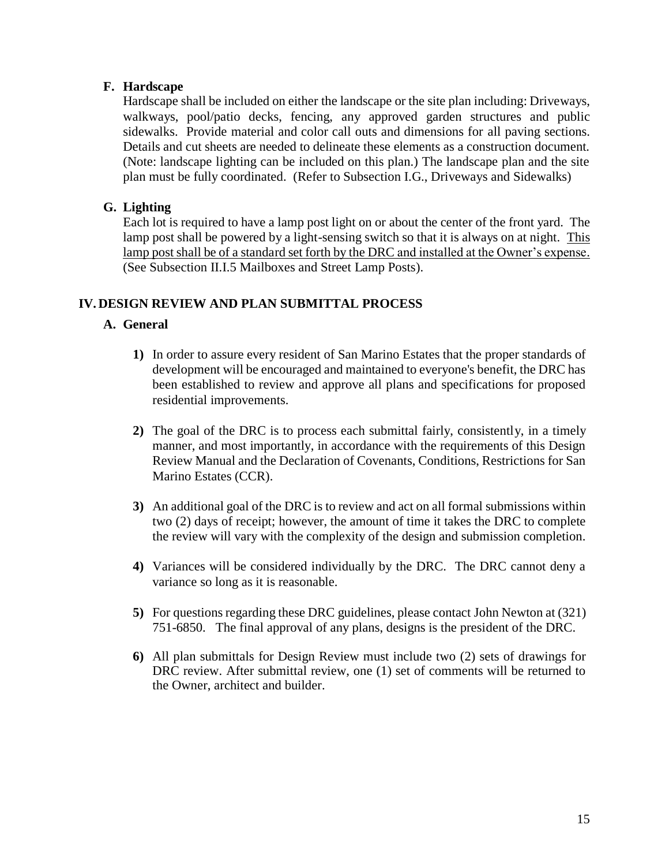# **F. Hardscape**

Hardscape shall be included on either the landscape or the site plan including: Driveways, walkways, pool/patio decks, fencing, any approved garden structures and public sidewalks. Provide material and color call outs and dimensions for all paving sections. Details and cut sheets are needed to delineate these elements as a construction document. (Note: landscape lighting can be included on this plan.) The landscape plan and the site plan must be fully coordinated. (Refer to Subsection I.G., Driveways and Sidewalks)

# **G. Lighting**

Each lot is required to have a lamp post light on or about the center of the front yard. The lamp post shall be powered by a light-sensing switch so that it is always on at night. This lamp post shall be of a standard set forth by the DRC and installed at the Owner's expense. (See Subsection II.I.5 Mailboxes and Street Lamp Posts).

# **IV. DESIGN REVIEW AND PLAN SUBMITTAL PROCESS**

# **A. General**

- **1)** In order to assure every resident of San Marino Estates that the proper standards of development will be encouraged and maintained to everyone's benefit, the DRC has been established to review and approve all plans and specifications for proposed residential improvements.
- **2)** The goal of the DRC is to process each submittal fairly, consistently, in a timely manner, and most importantly, in accordance with the requirements of this Design Review Manual and the Declaration of Covenants, Conditions, Restrictions for San Marino Estates (CCR).
- **3)** An additional goal of the DRC is to review and act on all formal submissions within two (2) days of receipt; however, the amount of time it takes the DRC to complete the review will vary with the complexity of the design and submission completion.
- **4)** Variances will be considered individually by the DRC. The DRC cannot deny a variance so long as it is reasonable.
- **5)** For questions regarding these DRC guidelines, please contact John Newton at (321) 751-6850. The final approval of any plans, designs is the president of the DRC.
- **6)** All plan submittals for Design Review must include two (2) sets of drawings for DRC review. After submittal review, one (1) set of comments will be returned to the Owner, architect and builder.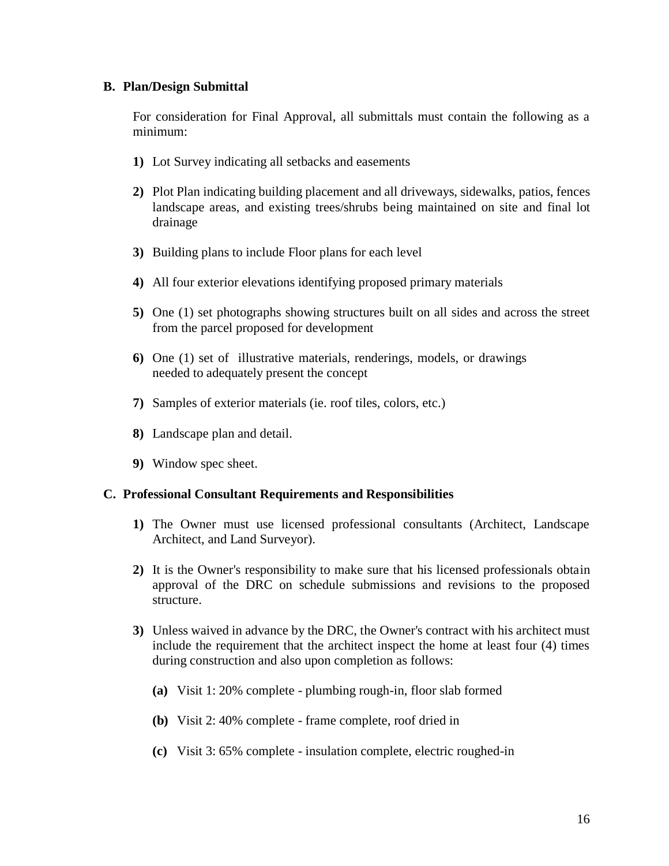## **B. Plan/Design Submittal**

For consideration for Final Approval, all submittals must contain the following as a minimum:

- **1)** Lot Survey indicating all setbacks and easements
- **2)** Plot Plan indicating building placement and all driveways, sidewalks, patios, fences landscape areas, and existing trees/shrubs being maintained on site and final lot drainage
- **3)** Building plans to include Floor plans for each level
- **4)** All four exterior elevations identifying proposed primary materials
- **5)** One (1) set photographs showing structures built on all sides and across the street from the parcel proposed for development
- **6)** One (1) set of illustrative materials, renderings, models, or drawings needed to adequately present the concept
- **7)** Samples of exterior materials (ie. roof tiles, colors, etc.)
- **8)** Landscape plan and detail.
- **9)** Window spec sheet.

#### **C. Professional Consultant Requirements and Responsibilities**

- **1)** The Owner must use licensed professional consultants (Architect, Landscape Architect, and Land Surveyor).
- **2)** It is the Owner's responsibility to make sure that his licensed professionals obtain approval of the DRC on schedule submissions and revisions to the proposed structure.
- **3)** Unless waived in advance by the DRC, the Owner's contract with his architect must include the requirement that the architect inspect the home at least four (4) times during construction and also upon completion as follows:
	- **(a)** Visit 1: 20% complete plumbing rough-in, floor slab formed
	- **(b)** Visit 2: 40% complete frame complete, roof dried in
	- **(c)** Visit 3: 65% complete insulation complete, electric roughed-in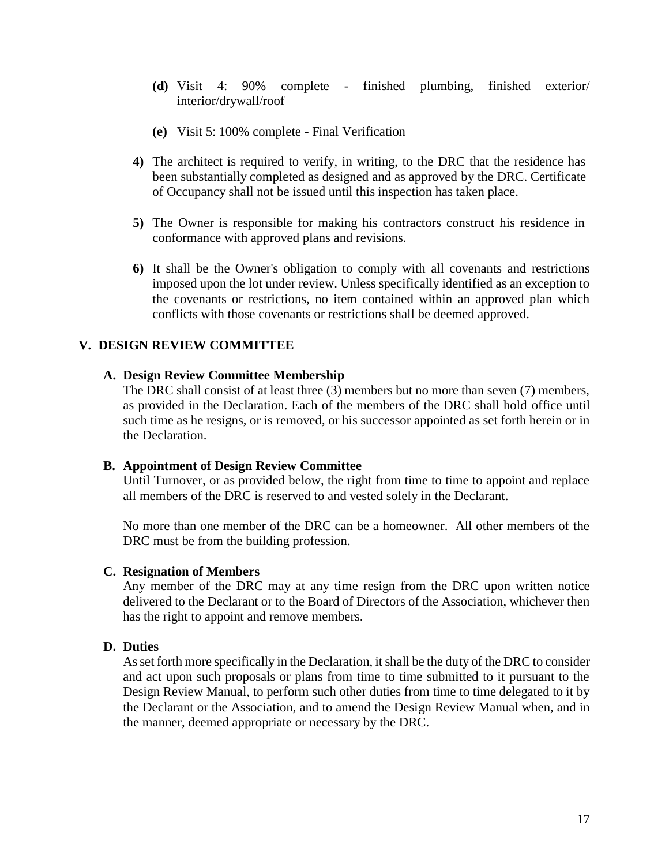- **(d)** Visit 4: 90% complete finished plumbing, finished exterior/ interior/drywall/roof
- **(e)** Visit 5: 100% complete Final Verification
- **4)** The architect is required to verify, in writing, to the DRC that the residence has been substantially completed as designed and as approved by the DRC. Certificate of Occupancy shall not be issued until this inspection has taken place.
- **5)** The Owner is responsible for making his contractors construct his residence in conformance with approved plans and revisions.
- **6)** It shall be the Owner's obligation to comply with all covenants and restrictions imposed upon the lot under review. Unless specifically identified as an exception to the covenants or restrictions, no item contained within an approved plan which conflicts with those covenants or restrictions shall be deemed approved.

## **V. DESIGN REVIEW COMMITTEE**

#### **A. Design Review Committee Membership**

The DRC shall consist of at least three (3) members but no more than seven (7) members, as provided in the Declaration. Each of the members of the DRC shall hold office until such time as he resigns, or is removed, or his successor appointed as set forth herein or in the Declaration.

#### **B. Appointment of Design Review Committee**

Until Turnover, or as provided below, the right from time to time to appoint and replace all members of the DRC is reserved to and vested solely in the Declarant.

No more than one member of the DRC can be a homeowner. All other members of the DRC must be from the building profession.

#### **C. Resignation of Members**

Any member of the DRC may at any time resign from the DRC upon written notice delivered to the Declarant or to the Board of Directors of the Association, whichever then has the right to appoint and remove members.

#### **D. Duties**

As set forth more specifically in the Declaration, it shall be the duty of the DRC to consider and act upon such proposals or plans from time to time submitted to it pursuant to the Design Review Manual, to perform such other duties from time to time delegated to it by the Declarant or the Association, and to amend the Design Review Manual when, and in the manner, deemed appropriate or necessary by the DRC.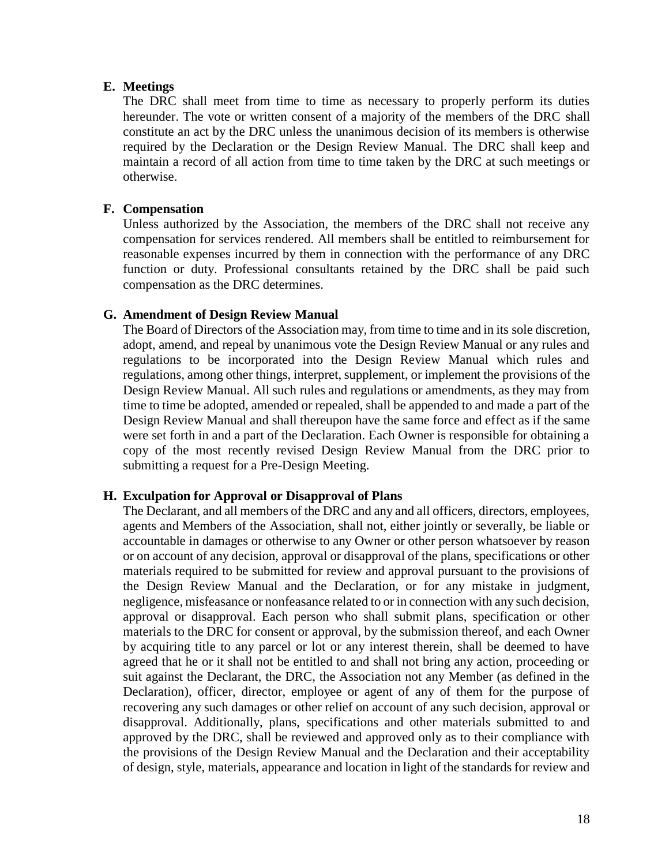#### **E. Meetings**

The DRC shall meet from time to time as necessary to properly perform its duties hereunder. The vote or written consent of a majority of the members of the DRC shall constitute an act by the DRC unless the unanimous decision of its members is otherwise required by the Declaration or the Design Review Manual. The DRC shall keep and maintain a record of all action from time to time taken by the DRC at such meetings or otherwise.

#### **F. Compensation**

Unless authorized by the Association, the members of the DRC shall not receive any compensation for services rendered. All members shall be entitled to reimbursement for reasonable expenses incurred by them in connection with the performance of any DRC function or duty. Professional consultants retained by the DRC shall be paid such compensation as the DRC determines.

## **G. Amendment of Design Review Manual**

The Board of Directors of the Association may, from time to time and in its sole discretion, adopt, amend, and repeal by unanimous vote the Design Review Manual or any rules and regulations to be incorporated into the Design Review Manual which rules and regulations, among other things, interpret, supplement, or implement the provisions of the Design Review Manual. All such rules and regulations or amendments, as they may from time to time be adopted, amended or repealed, shall be appended to and made a part of the Design Review Manual and shall thereupon have the same force and effect as if the same were set forth in and a part of the Declaration. Each Owner is responsible for obtaining a copy of the most recently revised Design Review Manual from the DRC prior to submitting a request for a Pre-Design Meeting.

## **H. Exculpation for Approval or Disapproval of Plans**

The Declarant, and all members of the DRC and any and all officers, directors, employees, agents and Members of the Association, shall not, either jointly or severally, be liable or accountable in damages or otherwise to any Owner or other person whatsoever by reason or on account of any decision, approval or disapproval of the plans, specifications or other materials required to be submitted for review and approval pursuant to the provisions of the Design Review Manual and the Declaration, or for any mistake in judgment, negligence, misfeasance or nonfeasance related to or in connection with any such decision, approval or disapproval. Each person who shall submit plans, specification or other materials to the DRC for consent or approval, by the submission thereof, and each Owner by acquiring title to any parcel or lot or any interest therein, shall be deemed to have agreed that he or it shall not be entitled to and shall not bring any action, proceeding or suit against the Declarant, the DRC, the Association not any Member (as defined in the Declaration), officer, director, employee or agent of any of them for the purpose of recovering any such damages or other relief on account of any such decision, approval or disapproval. Additionally, plans, specifications and other materials submitted to and approved by the DRC, shall be reviewed and approved only as to their compliance with the provisions of the Design Review Manual and the Declaration and their acceptability of design, style, materials, appearance and location in light of the standards for review and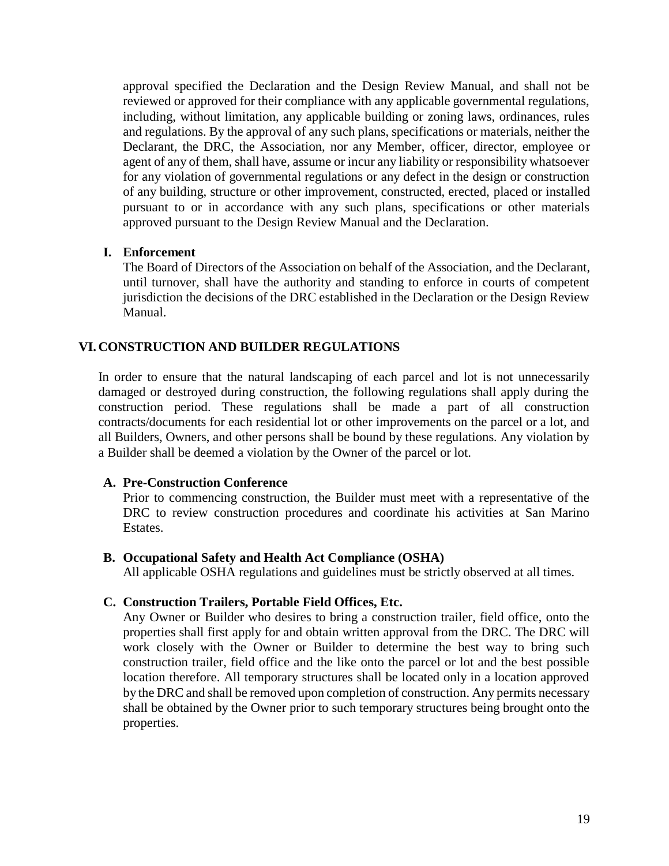approval specified the Declaration and the Design Review Manual, and shall not be reviewed or approved for their compliance with any applicable governmental regulations, including, without limitation, any applicable building or zoning laws, ordinances, rules and regulations. By the approval of any such plans, specifications or materials, neither the Declarant, the DRC, the Association, nor any Member, officer, director, employee or agent of any of them, shall have, assume or incur any liability or responsibility whatsoever for any violation of governmental regulations or any defect in the design or construction of any building, structure or other improvement, constructed, erected, placed or installed pursuant to or in accordance with any such plans, specifications or other materials approved pursuant to the Design Review Manual and the Declaration.

## **I. Enforcement**

The Board of Directors of the Association on behalf of the Association, and the Declarant, until turnover, shall have the authority and standing to enforce in courts of competent jurisdiction the decisions of the DRC established in the Declaration or the Design Review Manual.

# **VI. CONSTRUCTION AND BUILDER REGULATIONS**

In order to ensure that the natural landscaping of each parcel and lot is not unnecessarily damaged or destroyed during construction, the following regulations shall apply during the construction period. These regulations shall be made a part of all construction contracts/documents for each residential lot or other improvements on the parcel or a lot, and all Builders, Owners, and other persons shall be bound by these regulations. Any violation by a Builder shall be deemed a violation by the Owner of the parcel or lot.

## **A. Pre-Construction Conference**

Prior to commencing construction, the Builder must meet with a representative of the DRC to review construction procedures and coordinate his activities at San Marino Estates.

## **B. Occupational Safety and Health Act Compliance (OSHA)**

All applicable OSHA regulations and guidelines must be strictly observed at all times.

## **C. Construction Trailers, Portable Field Offices, Etc.**

Any Owner or Builder who desires to bring a construction trailer, field office, onto the properties shall first apply for and obtain written approval from the DRC. The DRC will work closely with the Owner or Builder to determine the best way to bring such construction trailer, field office and the like onto the parcel or lot and the best possible location therefore. All temporary structures shall be located only in a location approved by the DRC and shall be removed upon completion of construction. Any permits necessary shall be obtained by the Owner prior to such temporary structures being brought onto the properties.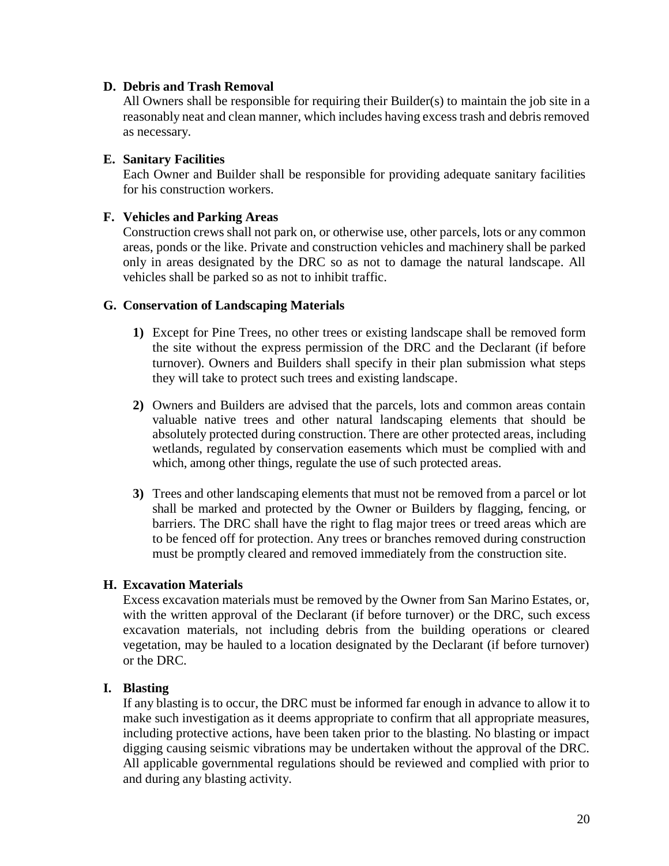## **D. Debris and Trash Removal**

All Owners shall be responsible for requiring their Builder(s) to maintain the job site in a reasonably neat and clean manner, which includes having excess trash and debris removed as necessary.

# **E. Sanitary Facilities**

Each Owner and Builder shall be responsible for providing adequate sanitary facilities for his construction workers.

# **F. Vehicles and Parking Areas**

Construction crews shall not park on, or otherwise use, other parcels, lots or any common areas, ponds or the like. Private and construction vehicles and machinery shall be parked only in areas designated by the DRC so as not to damage the natural landscape. All vehicles shall be parked so as not to inhibit traffic.

# **G. Conservation of Landscaping Materials**

- **1)** Except for Pine Trees, no other trees or existing landscape shall be removed form the site without the express permission of the DRC and the Declarant (if before turnover). Owners and Builders shall specify in their plan submission what steps they will take to protect such trees and existing landscape.
- **2)** Owners and Builders are advised that the parcels, lots and common areas contain valuable native trees and other natural landscaping elements that should be absolutely protected during construction. There are other protected areas, including wetlands, regulated by conservation easements which must be complied with and which, among other things, regulate the use of such protected areas.
- **3)** Trees and other landscaping elements that must not be removed from a parcel or lot shall be marked and protected by the Owner or Builders by flagging, fencing, or barriers. The DRC shall have the right to flag major trees or treed areas which are to be fenced off for protection. Any trees or branches removed during construction must be promptly cleared and removed immediately from the construction site.

# **H. Excavation Materials**

Excess excavation materials must be removed by the Owner from San Marino Estates, or, with the written approval of the Declarant (if before turnover) or the DRC, such excess excavation materials, not including debris from the building operations or cleared vegetation, may be hauled to a location designated by the Declarant (if before turnover) or the DRC.

# **I. Blasting**

If any blasting is to occur, the DRC must be informed far enough in advance to allow it to make such investigation as it deems appropriate to confirm that all appropriate measures, including protective actions, have been taken prior to the blasting. No blasting or impact digging causing seismic vibrations may be undertaken without the approval of the DRC. All applicable governmental regulations should be reviewed and complied with prior to and during any blasting activity.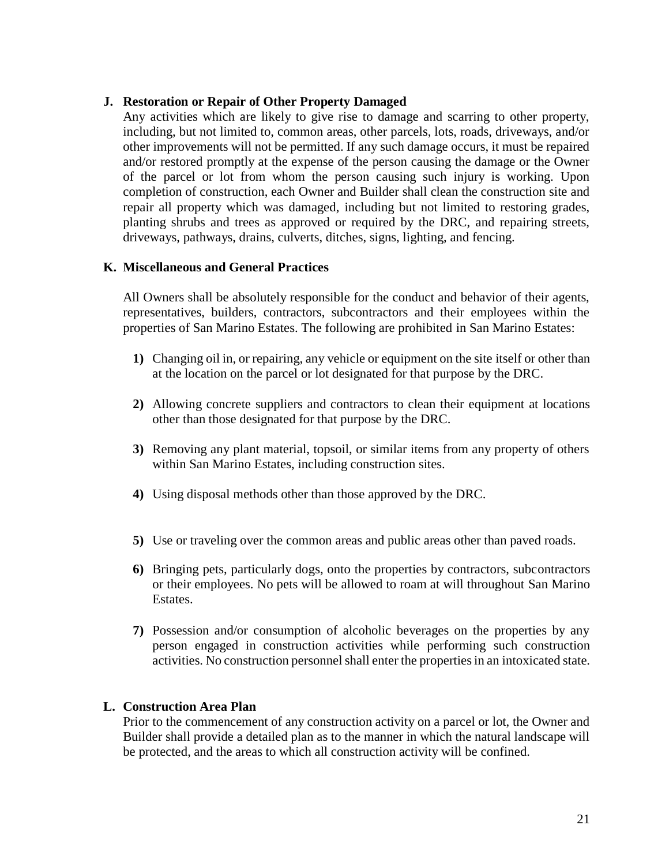# **J. Restoration or Repair of Other Property Damaged**

Any activities which are likely to give rise to damage and scarring to other property, including, but not limited to, common areas, other parcels, lots, roads, driveways, and/or other improvements will not be permitted. If any such damage occurs, it must be repaired and/or restored promptly at the expense of the person causing the damage or the Owner of the parcel or lot from whom the person causing such injury is working. Upon completion of construction, each Owner and Builder shall clean the construction site and repair all property which was damaged, including but not limited to restoring grades, planting shrubs and trees as approved or required by the DRC, and repairing streets, driveways, pathways, drains, culverts, ditches, signs, lighting, and fencing.

# **K. Miscellaneous and General Practices**

All Owners shall be absolutely responsible for the conduct and behavior of their agents, representatives, builders, contractors, subcontractors and their employees within the properties of San Marino Estates. The following are prohibited in San Marino Estates:

- **1)** Changing oil in, or repairing, any vehicle or equipment on the site itself or other than at the location on the parcel or lot designated for that purpose by the DRC.
- **2)** Allowing concrete suppliers and contractors to clean their equipment at locations other than those designated for that purpose by the DRC.
- **3)** Removing any plant material, topsoil, or similar items from any property of others within San Marino Estates, including construction sites.
- **4)** Using disposal methods other than those approved by the DRC.
- **5)** Use or traveling over the common areas and public areas other than paved roads.
- **6)** Bringing pets, particularly dogs, onto the properties by contractors, subcontractors or their employees. No pets will be allowed to roam at will throughout San Marino Estates.
- **7)** Possession and/or consumption of alcoholic beverages on the properties by any person engaged in construction activities while performing such construction activities. No construction personnel shall enter the properties in an intoxicated state.

## **L. Construction Area Plan**

Prior to the commencement of any construction activity on a parcel or lot, the Owner and Builder shall provide a detailed plan as to the manner in which the natural landscape will be protected, and the areas to which all construction activity will be confined.